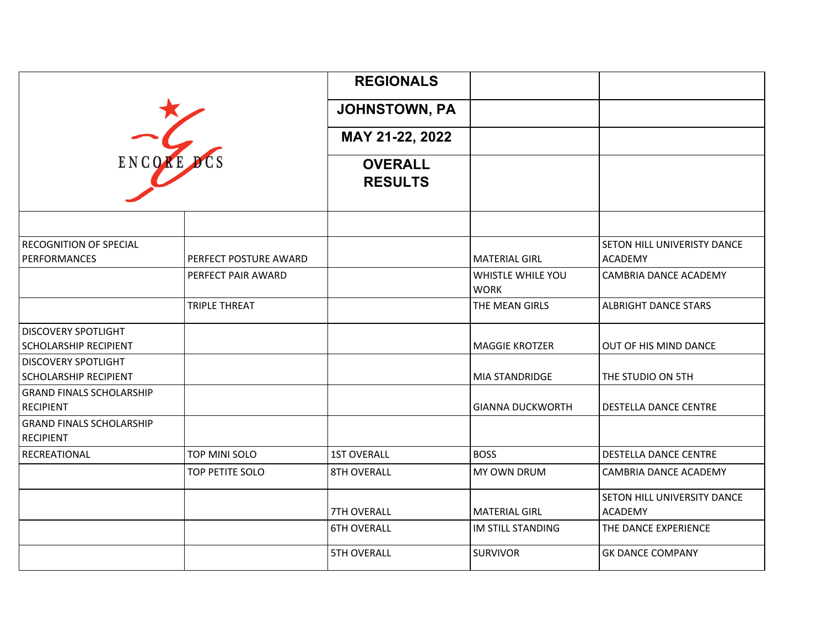|                                                            |                       | <b>REGIONALS</b>                 |                                  |                                                      |
|------------------------------------------------------------|-----------------------|----------------------------------|----------------------------------|------------------------------------------------------|
|                                                            |                       | <b>JOHNSTOWN, PA</b>             |                                  |                                                      |
| ENCORE                                                     |                       | MAY 21-22, 2022                  |                                  |                                                      |
|                                                            |                       | <b>OVERALL</b><br><b>RESULTS</b> |                                  |                                                      |
|                                                            |                       |                                  |                                  |                                                      |
| <b>RECOGNITION OF SPECIAL</b><br><b>PERFORMANCES</b>       | PERFECT POSTURE AWARD |                                  | <b>MATERIAL GIRL</b>             | <b>SETON HILL UNIVERISTY DANCE</b><br><b>ACADEMY</b> |
|                                                            | PERFECT PAIR AWARD    |                                  | WHISTLE WHILE YOU<br><b>WORK</b> | CAMBRIA DANCE ACADEMY                                |
|                                                            | <b>TRIPLE THREAT</b>  |                                  | THE MEAN GIRLS                   | <b>ALBRIGHT DANCE STARS</b>                          |
| <b>DISCOVERY SPOTLIGHT</b><br><b>SCHOLARSHIP RECIPIENT</b> |                       |                                  | <b>MAGGIE KROTZER</b>            | OUT OF HIS MIND DANCE                                |
| <b>DISCOVERY SPOTLIGHT</b><br><b>SCHOLARSHIP RECIPIENT</b> |                       |                                  | MIA STANDRIDGE                   | THE STUDIO ON 5TH                                    |
| <b>GRAND FINALS SCHOLARSHIP</b><br><b>RECIPIENT</b>        |                       |                                  | <b>GIANNA DUCKWORTH</b>          | DESTELLA DANCE CENTRE                                |
| <b>GRAND FINALS SCHOLARSHIP</b><br><b>RECIPIENT</b>        |                       |                                  |                                  |                                                      |
| RECREATIONAL                                               | <b>TOP MINI SOLO</b>  | <b>1ST OVERALL</b>               | <b>BOSS</b>                      | <b>DESTELLA DANCE CENTRE</b>                         |
|                                                            | TOP PETITE SOLO       | <b>8TH OVERALL</b>               | <b>MY OWN DRUM</b>               | CAMBRIA DANCE ACADEMY                                |
|                                                            |                       | <b>7TH OVERALL</b>               | <b>MATERIAL GIRL</b>             | SETON HILL UNIVERSITY DANCE<br><b>ACADEMY</b>        |
|                                                            |                       | <b>6TH OVERALL</b>               | IM STILL STANDING                | THE DANCE EXPERIENCE                                 |
|                                                            |                       | <b>5TH OVERALL</b>               | <b>SURVIVOR</b>                  | <b>GK DANCE COMPANY</b>                              |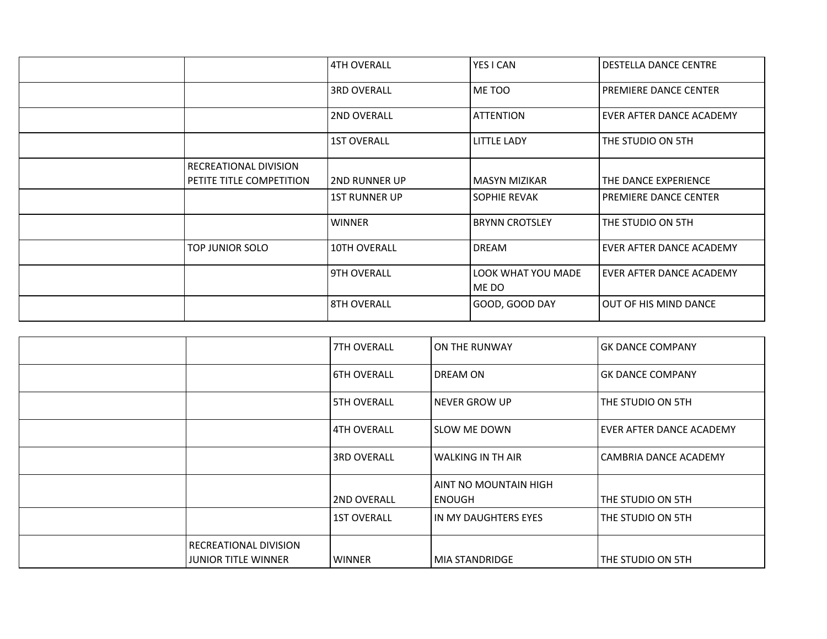|                                                   | l 4TH OVERALL        | YES I CAN                   | <b>DESTELLA DANCE CENTRE</b>    |
|---------------------------------------------------|----------------------|-----------------------------|---------------------------------|
|                                                   | <b>3RD OVERALL</b>   | ME TOO                      | <b>PREMIERE DANCE CENTER</b>    |
|                                                   | <b>2ND OVERALL</b>   | l ATTENTION                 | EVER AFTER DANCE ACADEMY        |
|                                                   | <b>1ST OVERALL</b>   | <b>LITTLE LADY</b>          | THE STUDIO ON 5TH               |
| RECREATIONAL DIVISION<br>PETITE TITLE COMPETITION | l 2ND RUNNER UP      | l MASYN MIZIKAR             | THE DANCE EXPERIENCE            |
|                                                   | <b>1ST RUNNER UP</b> | <b>SOPHIE REVAK</b>         | <b>PREMIERE DANCE CENTER</b>    |
|                                                   | <b>WINNER</b>        | l BRYNN CROTSLEY            | THE STUDIO ON 5TH               |
| TOP JUNIOR SOLO                                   | <b>10TH OVERALL</b>  | <b>DREAM</b>                | <b>EVER AFTER DANCE ACADEMY</b> |
|                                                   | <b>9TH OVERALL</b>   | LOOK WHAT YOU MADE<br>ME DO | EVER AFTER DANCE ACADEMY        |
|                                                   | <b>8TH OVERALL</b>   | GOOD, GOOD DAY              | OUT OF HIS MIND DANCE           |

|                                                     | <b>7TH OVERALL</b> | I ON THE RUNWAY                        | <b>GK DANCE COMPANY</b>  |
|-----------------------------------------------------|--------------------|----------------------------------------|--------------------------|
|                                                     | <b>6TH OVERALL</b> | <b>DREAM ON</b>                        | <b>GK DANCE COMPANY</b>  |
|                                                     | <b>5TH OVERALL</b> | NEVER GROW UP                          | THE STUDIO ON 5TH        |
|                                                     | <b>4TH OVERALL</b> | <b>SLOW ME DOWN</b>                    | EVER AFTER DANCE ACADEMY |
|                                                     | <b>3RD OVERALL</b> | <b>WALKING IN TH AIR</b>               | CAMBRIA DANCE ACADEMY    |
|                                                     | <b>2ND OVERALL</b> | AINT NO MOUNTAIN HIGH<br><b>ENOUGH</b> | THE STUDIO ON 5TH        |
|                                                     | <b>1ST OVERALL</b> | IN MY DAUGHTERS EYES                   | THE STUDIO ON 5TH        |
| RECREATIONAL DIVISION<br><b>JUNIOR TITLE WINNER</b> | <b>WINNER</b>      | <b>MIA STANDRIDGE</b>                  | THE STUDIO ON 5TH        |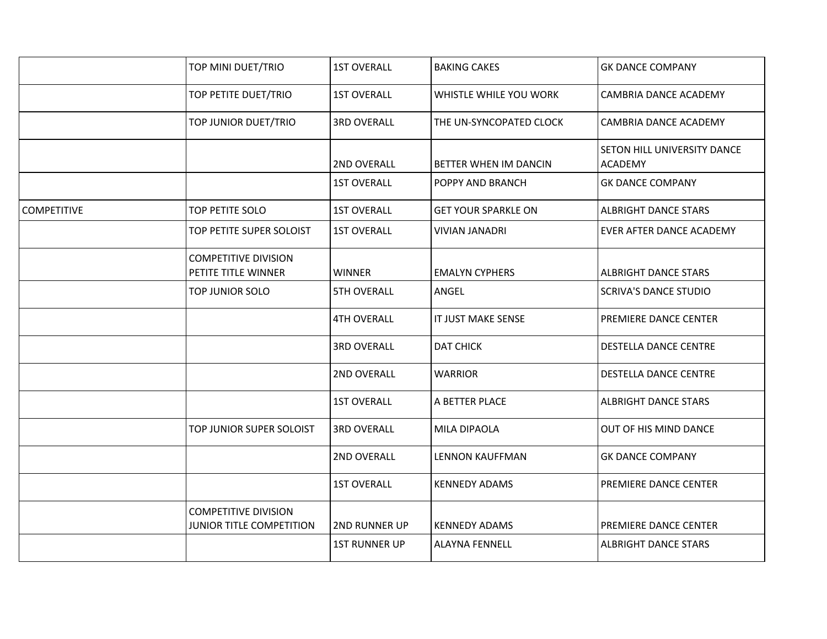|                    | TOP MINI DUET/TRIO                                      | <b>1ST OVERALL</b>   | <b>BAKING CAKES</b>        | <b>GK DANCE COMPANY</b>                       |
|--------------------|---------------------------------------------------------|----------------------|----------------------------|-----------------------------------------------|
|                    | TOP PETITE DUET/TRIO                                    | <b>1ST OVERALL</b>   | WHISTLE WHILE YOU WORK     | CAMBRIA DANCE ACADEMY                         |
|                    | TOP JUNIOR DUET/TRIO                                    | <b>3RD OVERALL</b>   | THE UN-SYNCOPATED CLOCK    | CAMBRIA DANCE ACADEMY                         |
|                    |                                                         | 2ND OVERALL          | BETTER WHEN IM DANCIN      | SETON HILL UNIVERSITY DANCE<br><b>ACADEMY</b> |
|                    |                                                         | <b>1ST OVERALL</b>   | POPPY AND BRANCH           | <b>GK DANCE COMPANY</b>                       |
| <b>COMPETITIVE</b> | TOP PETITE SOLO                                         | <b>1ST OVERALL</b>   | <b>GET YOUR SPARKLE ON</b> | <b>ALBRIGHT DANCE STARS</b>                   |
|                    | TOP PETITE SUPER SOLOIST                                | <b>1ST OVERALL</b>   | <b>VIVIAN JANADRI</b>      | <b>EVER AFTER DANCE ACADEMY</b>               |
|                    | <b>COMPETITIVE DIVISION</b><br>PETITE TITLE WINNER      | <b>WINNER</b>        | <b>EMALYN CYPHERS</b>      | <b>ALBRIGHT DANCE STARS</b>                   |
|                    | TOP JUNIOR SOLO                                         | <b>5TH OVERALL</b>   | ANGEL                      | <b>SCRIVA'S DANCE STUDIO</b>                  |
|                    |                                                         | <b>4TH OVERALL</b>   | IT JUST MAKE SENSE         | PREMIERE DANCE CENTER                         |
|                    |                                                         | <b>3RD OVERALL</b>   | <b>DAT CHICK</b>           | <b>DESTELLA DANCE CENTRE</b>                  |
|                    |                                                         | 2ND OVERALL          | <b>WARRIOR</b>             | <b>DESTELLA DANCE CENTRE</b>                  |
|                    |                                                         | <b>1ST OVERALL</b>   | A BETTER PLACE             | <b>ALBRIGHT DANCE STARS</b>                   |
|                    | TOP JUNIOR SUPER SOLOIST                                | <b>3RD OVERALL</b>   | MILA DIPAOLA               | OUT OF HIS MIND DANCE                         |
|                    |                                                         | 2ND OVERALL          | <b>LENNON KAUFFMAN</b>     | <b>GK DANCE COMPANY</b>                       |
|                    |                                                         | <b>1ST OVERALL</b>   | <b>KENNEDY ADAMS</b>       | PREMIERE DANCE CENTER                         |
|                    | <b>COMPETITIVE DIVISION</b><br>JUNIOR TITLE COMPETITION | 2ND RUNNER UP        | <b>KENNEDY ADAMS</b>       | <b>PREMIERE DANCE CENTER</b>                  |
|                    |                                                         | <b>1ST RUNNER UP</b> | <b>ALAYNA FENNELL</b>      | <b>ALBRIGHT DANCE STARS</b>                   |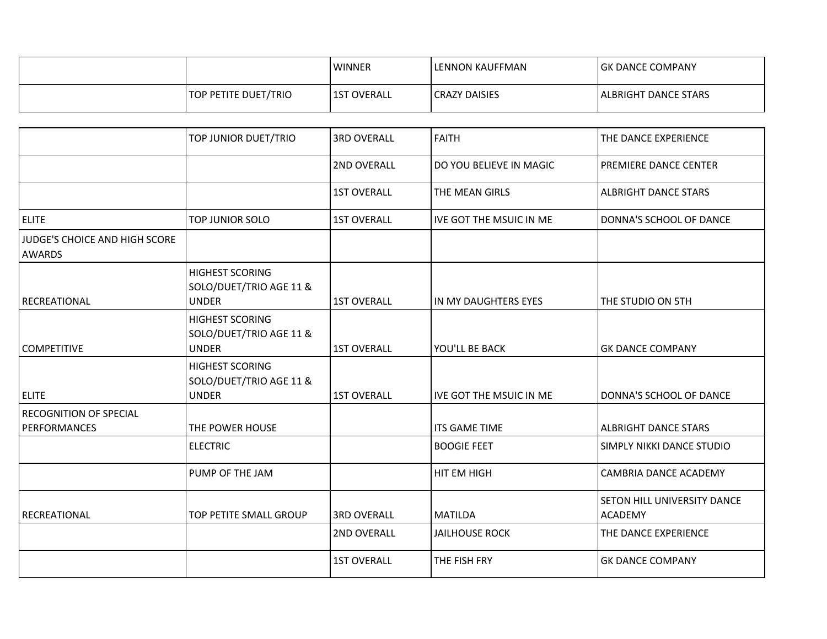|                      | <b>LWINNER</b> | LENNON KAUFFMAN      | IGK DANCE COMPANY             |
|----------------------|----------------|----------------------|-------------------------------|
| TOP PETITE DUET/TRIO | 1ST OVERALL    | <b>CRAZY DAISIES</b> | <b>I ALBRIGHT DANCE STARS</b> |

|                                                       | TOP JUNIOR DUET/TRIO                                              | <b>3RD OVERALL</b> | <b>FAITH</b>            | THE DANCE EXPERIENCE                          |
|-------------------------------------------------------|-------------------------------------------------------------------|--------------------|-------------------------|-----------------------------------------------|
|                                                       |                                                                   | 2ND OVERALL        | DO YOU BELIEVE IN MAGIC | PREMIERE DANCE CENTER                         |
|                                                       |                                                                   | <b>1ST OVERALL</b> | THE MEAN GIRLS          | <b>ALBRIGHT DANCE STARS</b>                   |
| <b>ELITE</b>                                          | TOP JUNIOR SOLO                                                   | <b>1ST OVERALL</b> | IVE GOT THE MSUIC IN ME | DONNA'S SCHOOL OF DANCE                       |
| <b>JUDGE'S CHOICE AND HIGH SCORE</b><br><b>AWARDS</b> |                                                                   |                    |                         |                                               |
| RECREATIONAL                                          | <b>HIGHEST SCORING</b><br>SOLO/DUET/TRIO AGE 11 &<br><b>UNDER</b> | <b>1ST OVERALL</b> | IN MY DAUGHTERS EYES    | THE STUDIO ON 5TH                             |
| <b>COMPETITIVE</b>                                    | <b>HIGHEST SCORING</b><br>SOLO/DUET/TRIO AGE 11 &<br><b>UNDER</b> | <b>1ST OVERALL</b> | YOU'LL BE BACK          | <b>GK DANCE COMPANY</b>                       |
| <b>ELITE</b>                                          | <b>HIGHEST SCORING</b><br>SOLO/DUET/TRIO AGE 11 &<br><b>UNDER</b> | <b>1ST OVERALL</b> | IVE GOT THE MSUIC IN ME | DONNA'S SCHOOL OF DANCE                       |
| RECOGNITION OF SPECIAL<br><b>PERFORMANCES</b>         | THE POWER HOUSE                                                   |                    | <b>ITS GAME TIME</b>    | <b>ALBRIGHT DANCE STARS</b>                   |
|                                                       | <b>ELECTRIC</b>                                                   |                    | <b>BOOGIE FEET</b>      | SIMPLY NIKKI DANCE STUDIO                     |
|                                                       | PUMP OF THE JAM                                                   |                    | HIT EM HIGH             | CAMBRIA DANCE ACADEMY                         |
| RECREATIONAL                                          | TOP PETITE SMALL GROUP                                            | <b>3RD OVERALL</b> | <b>MATILDA</b>          | SETON HILL UNIVERSITY DANCE<br><b>ACADEMY</b> |
|                                                       |                                                                   | 2ND OVERALL        | <b>JAILHOUSE ROCK</b>   | THE DANCE EXPERIENCE                          |
|                                                       |                                                                   | <b>1ST OVERALL</b> | THE FISH FRY            | <b>GK DANCE COMPANY</b>                       |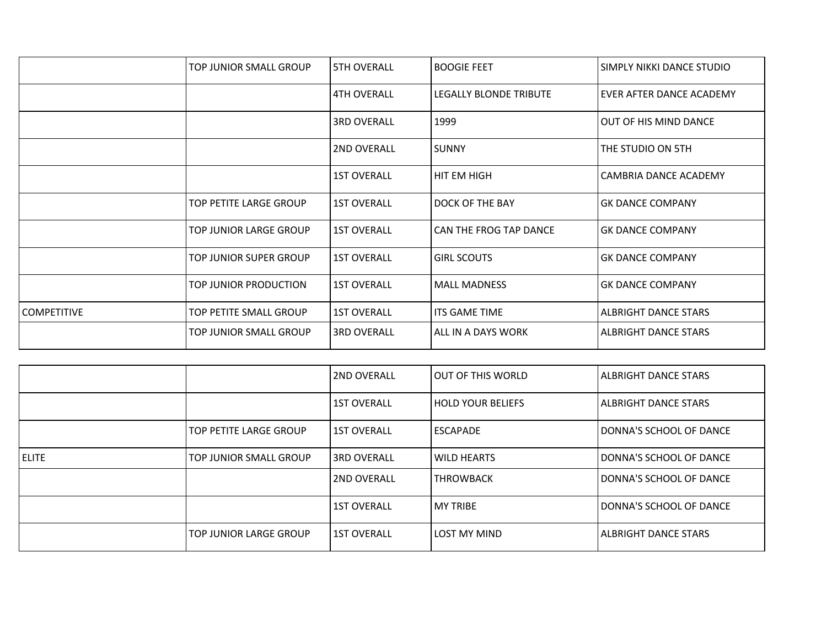|                    | TOP JUNIOR SMALL GROUP | <b>5TH OVERALL</b> | <b>BOOGIE FEET</b>     | SIMPLY NIKKI DANCE STUDIO   |
|--------------------|------------------------|--------------------|------------------------|-----------------------------|
|                    |                        | <b>4TH OVERALL</b> | LEGALLY BLONDE TRIBUTE | EVER AFTER DANCE ACADEMY    |
|                    |                        | <b>3RD OVERALL</b> | 1999                   | OUT OF HIS MIND DANCE       |
|                    |                        | <b>2ND OVERALL</b> | <b>SUNNY</b>           | THE STUDIO ON 5TH           |
|                    |                        | <b>1ST OVERALL</b> | HIT EM HIGH            | CAMBRIA DANCE ACADEMY       |
|                    | TOP PETITE LARGE GROUP | <b>1ST OVERALL</b> | DOCK OF THE BAY        | <b>GK DANCE COMPANY</b>     |
|                    | TOP JUNIOR LARGE GROUP | <b>1ST OVERALL</b> | CAN THE FROG TAP DANCE | <b>GK DANCE COMPANY</b>     |
|                    | TOP JUNIOR SUPER GROUP | <b>1ST OVERALL</b> | <b>GIRL SCOUTS</b>     | <b>GK DANCE COMPANY</b>     |
|                    | TOP JUNIOR PRODUCTION  | <b>1ST OVERALL</b> | <b>MALL MADNESS</b>    | <b>GK DANCE COMPANY</b>     |
| <b>COMPETITIVE</b> | TOP PETITE SMALL GROUP | <b>1ST OVERALL</b> | <b>ITS GAME TIME</b>   | <b>ALBRIGHT DANCE STARS</b> |
|                    | TOP JUNIOR SMALL GROUP | <b>3RD OVERALL</b> | ALL IN A DAYS WORK     | ALBRIGHT DANCE STARS        |

|              |                        | <b>2ND OVERALL</b> | LOUT OF THIS WORLD  | LALBRIGHT DANCE STARS       |
|--------------|------------------------|--------------------|---------------------|-----------------------------|
|              |                        | <b>1ST OVERALL</b> | l HOLD YOUR BELIEFS | ALBRIGHT DANCE STARS        |
|              | TOP PETITE LARGE GROUP | <b>1ST OVERALL</b> | l ESCAPADE          | DONNA'S SCHOOL OF DANCE     |
| <b>ELITE</b> | TOP JUNIOR SMALL GROUP | l3RD OVERALL       | I WILD HEARTS       | DONNA'S SCHOOL OF DANCE     |
|              |                        | <b>2ND OVERALL</b> | l THROWBACK         | DONNA'S SCHOOL OF DANCE     |
|              |                        | <b>1ST OVERALL</b> | <b>MY TRIBE</b>     | DONNA'S SCHOOL OF DANCE     |
|              | TOP JUNIOR LARGE GROUP | <b>1ST OVERALL</b> | <b>LOST MY MIND</b> | <b>ALBRIGHT DANCE STARS</b> |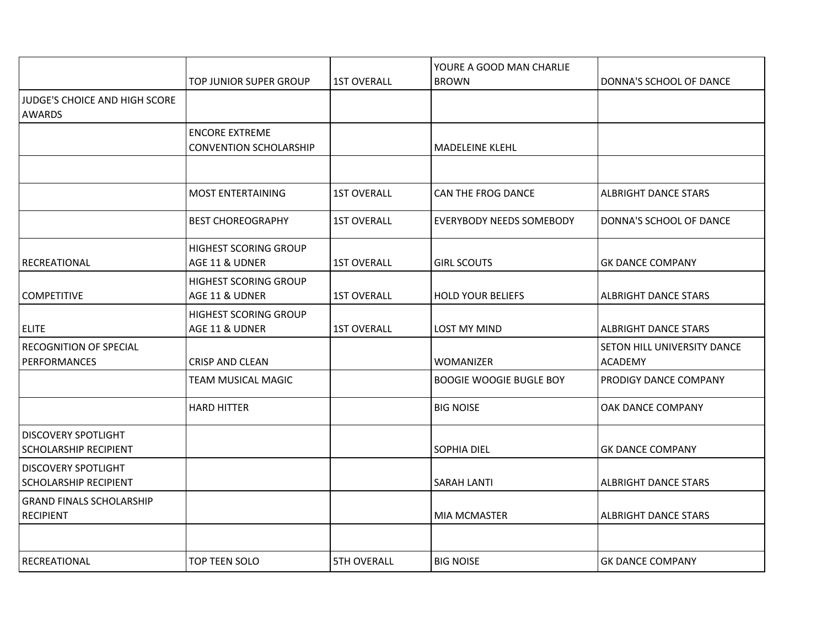|                                                            |                                                        |                    | YOURE A GOOD MAN CHARLIE        |                                               |
|------------------------------------------------------------|--------------------------------------------------------|--------------------|---------------------------------|-----------------------------------------------|
|                                                            | TOP JUNIOR SUPER GROUP                                 | <b>1ST OVERALL</b> | <b>BROWN</b>                    | DONNA'S SCHOOL OF DANCE                       |
| JUDGE'S CHOICE AND HIGH SCORE<br><b>AWARDS</b>             |                                                        |                    |                                 |                                               |
|                                                            | <b>ENCORE EXTREME</b><br><b>CONVENTION SCHOLARSHIP</b> |                    | <b>MADELEINE KLEHL</b>          |                                               |
|                                                            |                                                        |                    |                                 |                                               |
|                                                            | <b>MOST ENTERTAINING</b>                               | <b>1ST OVERALL</b> | CAN THE FROG DANCE              | <b>ALBRIGHT DANCE STARS</b>                   |
|                                                            | <b>BEST CHOREOGRAPHY</b>                               | <b>1ST OVERALL</b> | <b>EVERYBODY NEEDS SOMEBODY</b> | DONNA'S SCHOOL OF DANCE                       |
| RECREATIONAL                                               | <b>HIGHEST SCORING GROUP</b><br>AGE 11 & UDNER         | <b>1ST OVERALL</b> | <b>GIRL SCOUTS</b>              | <b>GK DANCE COMPANY</b>                       |
| <b>COMPETITIVE</b>                                         | HIGHEST SCORING GROUP<br>AGE 11 & UDNER                | <b>1ST OVERALL</b> | <b>HOLD YOUR BELIEFS</b>        | <b>ALBRIGHT DANCE STARS</b>                   |
| <b>ELITE</b>                                               | HIGHEST SCORING GROUP<br>AGE 11 & UDNER                | <b>1ST OVERALL</b> | <b>LOST MY MIND</b>             | <b>ALBRIGHT DANCE STARS</b>                   |
| <b>RECOGNITION OF SPECIAL</b><br><b>PERFORMANCES</b>       | <b>CRISP AND CLEAN</b>                                 |                    | <b>WOMANIZER</b>                | SETON HILL UNIVERSITY DANCE<br><b>ACADEMY</b> |
|                                                            | TEAM MUSICAL MAGIC                                     |                    | <b>BOOGIE WOOGIE BUGLE BOY</b>  | PRODIGY DANCE COMPANY                         |
|                                                            | <b>HARD HITTER</b>                                     |                    | <b>BIG NOISE</b>                | OAK DANCE COMPANY                             |
| <b>DISCOVERY SPOTLIGHT</b><br><b>SCHOLARSHIP RECIPIENT</b> |                                                        |                    | <b>SOPHIA DIEL</b>              | <b>GK DANCE COMPANY</b>                       |
| <b>DISCOVERY SPOTLIGHT</b><br><b>SCHOLARSHIP RECIPIENT</b> |                                                        |                    | <b>SARAH LANTI</b>              | <b>ALBRIGHT DANCE STARS</b>                   |
| <b>GRAND FINALS SCHOLARSHIP</b><br><b>RECIPIENT</b>        |                                                        |                    | <b>MIA MCMASTER</b>             | <b>ALBRIGHT DANCE STARS</b>                   |
|                                                            |                                                        |                    |                                 |                                               |
| <b>RECREATIONAL</b>                                        | TOP TEEN SOLO                                          | <b>5TH OVERALL</b> | <b>BIG NOISE</b>                | <b>GK DANCE COMPANY</b>                       |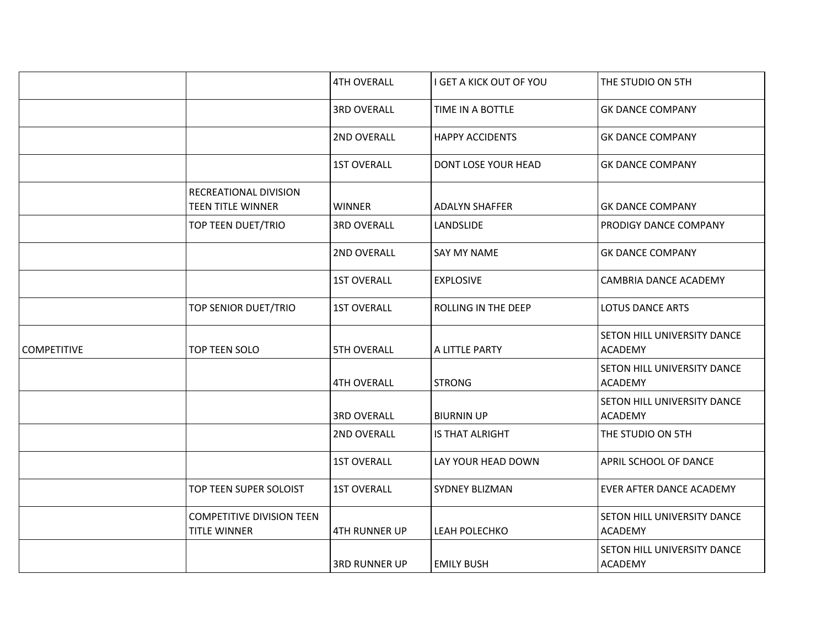|                    |                                                         | <b>4TH OVERALL</b>   | I GET A KICK OUT OF YOU | THE STUDIO ON 5TH                             |
|--------------------|---------------------------------------------------------|----------------------|-------------------------|-----------------------------------------------|
|                    |                                                         | <b>3RD OVERALL</b>   | TIME IN A BOTTLE        | <b>GK DANCE COMPANY</b>                       |
|                    |                                                         | 2ND OVERALL          | <b>HAPPY ACCIDENTS</b>  | <b>GK DANCE COMPANY</b>                       |
|                    |                                                         | <b>1ST OVERALL</b>   | DONT LOSE YOUR HEAD     | <b>GK DANCE COMPANY</b>                       |
|                    | RECREATIONAL DIVISION<br><b>TEEN TITLE WINNER</b>       | <b>WINNER</b>        | <b>ADALYN SHAFFER</b>   | <b>GK DANCE COMPANY</b>                       |
|                    | TOP TEEN DUET/TRIO                                      | <b>3RD OVERALL</b>   | LANDSLIDE               | PRODIGY DANCE COMPANY                         |
|                    |                                                         | 2ND OVERALL          | SAY MY NAME             | <b>GK DANCE COMPANY</b>                       |
|                    |                                                         | <b>1ST OVERALL</b>   | <b>EXPLOSIVE</b>        | CAMBRIA DANCE ACADEMY                         |
|                    | TOP SENIOR DUET/TRIO                                    | <b>1ST OVERALL</b>   | ROLLING IN THE DEEP     | <b>LOTUS DANCE ARTS</b>                       |
| <b>COMPETITIVE</b> | TOP TEEN SOLO                                           | <b>5TH OVERALL</b>   | A LITTLE PARTY          | SETON HILL UNIVERSITY DANCE<br><b>ACADEMY</b> |
|                    |                                                         | <b>4TH OVERALL</b>   | <b>STRONG</b>           | SETON HILL UNIVERSITY DANCE<br><b>ACADEMY</b> |
|                    |                                                         | <b>3RD OVERALL</b>   | <b>BIURNIN UP</b>       | SETON HILL UNIVERSITY DANCE<br><b>ACADEMY</b> |
|                    |                                                         | 2ND OVERALL          | IS THAT ALRIGHT         | THE STUDIO ON 5TH                             |
|                    |                                                         | <b>1ST OVERALL</b>   | LAY YOUR HEAD DOWN      | APRIL SCHOOL OF DANCE                         |
|                    | TOP TEEN SUPER SOLOIST                                  | <b>1ST OVERALL</b>   | <b>SYDNEY BLIZMAN</b>   | EVER AFTER DANCE ACADEMY                      |
|                    | <b>COMPETITIVE DIVISION TEEN</b><br><b>TITLE WINNER</b> | <b>4TH RUNNER UP</b> | LEAH POLECHKO           | SETON HILL UNIVERSITY DANCE<br><b>ACADEMY</b> |
|                    |                                                         | <b>3RD RUNNER UP</b> | <b>EMILY BUSH</b>       | SETON HILL UNIVERSITY DANCE<br><b>ACADEMY</b> |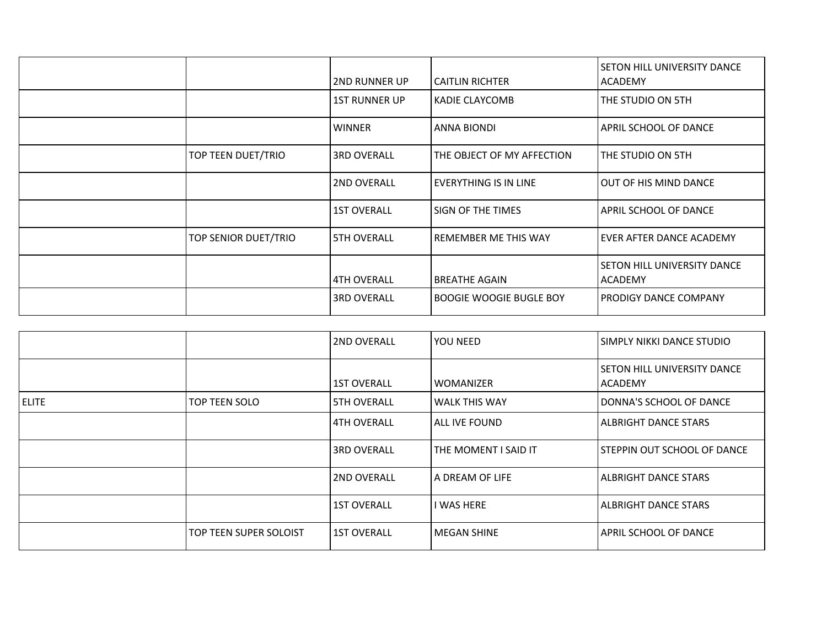|                      | <b>2ND RUNNER UP</b> | <b>CAITLIN RICHTER</b>         | <b>SETON HILL UNIVERSITY DANCE</b><br><b>ACADEMY</b> |
|----------------------|----------------------|--------------------------------|------------------------------------------------------|
|                      | <b>1ST RUNNER UP</b> | <b>KADIE CLAYCOMB</b>          | THE STUDIO ON 5TH                                    |
|                      | <b>WINNER</b>        | <b>ANNA BIONDI</b>             | <b>APRIL SCHOOL OF DANCE</b>                         |
| TOP TEEN DUET/TRIO   | <b>3RD OVERALL</b>   | THE OBJECT OF MY AFFECTION     | THE STUDIO ON 5TH                                    |
|                      | <b>2ND OVERALL</b>   | EVERYTHING IS IN LINE          | OUT OF HIS MIND DANCE                                |
|                      | <b>1ST OVERALL</b>   | SIGN OF THE TIMES              | <b>APRIL SCHOOL OF DANCE</b>                         |
| TOP SENIOR DUET/TRIO | <b>5TH OVERALL</b>   | <b>REMEMBER ME THIS WAY</b>    | EVER AFTER DANCE ACADEMY                             |
|                      | <b>4TH OVERALL</b>   | <b>BREATHE AGAIN</b>           | <b>SETON HILL UNIVERSITY DANCE</b><br><b>ACADEMY</b> |
|                      | <b>3RD OVERALL</b>   | <b>BOOGIE WOOGIE BUGLE BOY</b> | <b>PRODIGY DANCE COMPANY</b>                         |

|              |                        | 2ND OVERALL        | <b>YOU NEED</b>        | I SIMPLY NIKKI DANCE STUDIO                     |
|--------------|------------------------|--------------------|------------------------|-------------------------------------------------|
|              |                        | <b>1ST OVERALL</b> | <b>WOMANIZER</b>       | I SETON HILL UNIVERSITY DANCE<br><b>ACADEMY</b> |
| <b>ELITE</b> | TOP TEEN SOLO          | <b>5TH OVERALL</b> | l WALK THIS WAY        | DONNA'S SCHOOL OF DANCE                         |
|              |                        | <b>4TH OVERALL</b> | l ALL IVE FOUND        | ALBRIGHT DANCE STARS                            |
|              |                        | 3RD OVERALL        | l THE MOMENT I SAID IT | lSTEPPIN OUT SCHOOL OF DANCE                    |
|              |                        | <b>2ND OVERALL</b> | l A DREAM OF LIFE      | ALBRIGHT DANCE STARS                            |
|              |                        | <b>1ST OVERALL</b> | I WAS HERE             | <b>ALBRIGHT DANCE STARS</b>                     |
|              | TOP TEEN SUPER SOLOIST | <b>1ST OVERALL</b> | l MEGAN SHINE          | APRIL SCHOOL OF DANCE                           |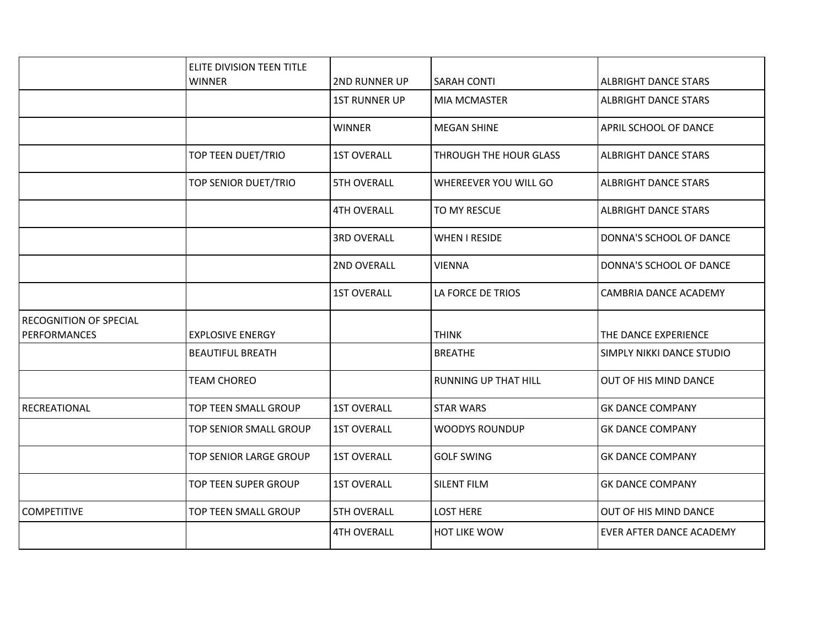|                               | ELITE DIVISION TEEN TITLE |                      |                             |                             |
|-------------------------------|---------------------------|----------------------|-----------------------------|-----------------------------|
|                               | <b>WINNER</b>             | 2ND RUNNER UP        | <b>SARAH CONTI</b>          | <b>ALBRIGHT DANCE STARS</b> |
|                               |                           | <b>1ST RUNNER UP</b> | <b>MIA MCMASTER</b>         | <b>ALBRIGHT DANCE STARS</b> |
|                               |                           | <b>WINNER</b>        | <b>MEGAN SHINE</b>          | APRIL SCHOOL OF DANCE       |
|                               | TOP TEEN DUET/TRIO        | <b>1ST OVERALL</b>   | THROUGH THE HOUR GLASS      | <b>ALBRIGHT DANCE STARS</b> |
|                               | TOP SENIOR DUET/TRIO      | <b>5TH OVERALL</b>   | WHEREEVER YOU WILL GO       | <b>ALBRIGHT DANCE STARS</b> |
|                               |                           | <b>4TH OVERALL</b>   | TO MY RESCUE                | <b>ALBRIGHT DANCE STARS</b> |
|                               |                           | <b>3RD OVERALL</b>   | <b>WHEN I RESIDE</b>        | DONNA'S SCHOOL OF DANCE     |
|                               |                           | 2ND OVERALL          | <b>VIENNA</b>               | DONNA'S SCHOOL OF DANCE     |
|                               |                           | <b>1ST OVERALL</b>   | LA FORCE DE TRIOS           | CAMBRIA DANCE ACADEMY       |
| <b>RECOGNITION OF SPECIAL</b> |                           |                      |                             |                             |
| <b>PERFORMANCES</b>           | <b>EXPLOSIVE ENERGY</b>   |                      | <b>THINK</b>                | THE DANCE EXPERIENCE        |
|                               | <b>BEAUTIFUL BREATH</b>   |                      | <b>BREATHE</b>              | SIMPLY NIKKI DANCE STUDIO   |
|                               | <b>TEAM CHOREO</b>        |                      | <b>RUNNING UP THAT HILL</b> | OUT OF HIS MIND DANCE       |
| RECREATIONAL                  | TOP TEEN SMALL GROUP      | <b>1ST OVERALL</b>   | <b>STAR WARS</b>            | <b>GK DANCE COMPANY</b>     |
|                               | TOP SENIOR SMALL GROUP    | <b>1ST OVERALL</b>   | <b>WOODYS ROUNDUP</b>       | <b>GK DANCE COMPANY</b>     |
|                               | TOP SENIOR LARGE GROUP    | <b>1ST OVERALL</b>   | <b>GOLF SWING</b>           | <b>GK DANCE COMPANY</b>     |
|                               | TOP TEEN SUPER GROUP      | <b>1ST OVERALL</b>   | SILENT FILM                 | <b>GK DANCE COMPANY</b>     |
| <b>COMPETITIVE</b>            | TOP TEEN SMALL GROUP      | <b>5TH OVERALL</b>   | <b>LOST HERE</b>            | OUT OF HIS MIND DANCE       |
|                               |                           | <b>4TH OVERALL</b>   | HOT LIKE WOW                | EVER AFTER DANCE ACADEMY    |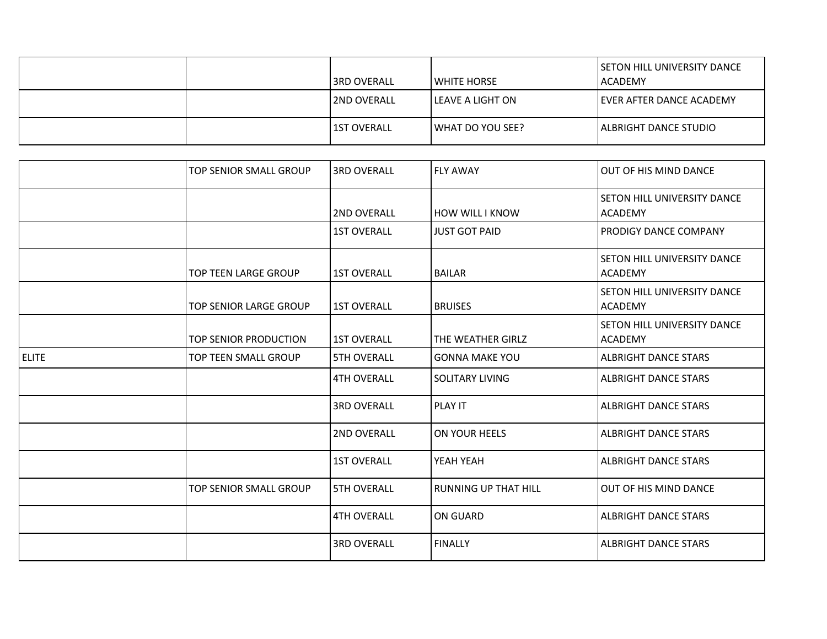|  | l3RD OVERALL       | l white horse      | SETON HILL UNIVERSITY DANCE<br><b>ACADEMY</b> |
|--|--------------------|--------------------|-----------------------------------------------|
|  | <b>2ND OVERALL</b> | l LEAVE A LIGHT ON | l EVER AFTER DANCE ACADEMY                    |
|  | l 1ST OVERALL      | I WHAT DO YOU SEE? | ALBRIGHT DANCE STUDIO                         |

|              | TOP SENIOR SMALL GROUP      | <b>3RD OVERALL</b> | <b>FLY AWAY</b>             | OUT OF HIS MIND DANCE                         |
|--------------|-----------------------------|--------------------|-----------------------------|-----------------------------------------------|
|              |                             | 2ND OVERALL        | <b>HOW WILL I KNOW</b>      | SETON HILL UNIVERSITY DANCE<br><b>ACADEMY</b> |
|              |                             | <b>1ST OVERALL</b> | <b>JUST GOT PAID</b>        | PRODIGY DANCE COMPANY                         |
|              | <b>TOP TEEN LARGE GROUP</b> | <b>1ST OVERALL</b> | <b>BAILAR</b>               | SETON HILL UNIVERSITY DANCE<br><b>ACADEMY</b> |
|              | TOP SENIOR LARGE GROUP      | <b>1ST OVERALL</b> | <b>BRUISES</b>              | SETON HILL UNIVERSITY DANCE<br><b>ACADEMY</b> |
|              | TOP SENIOR PRODUCTION       | <b>1ST OVERALL</b> | THE WEATHER GIRLZ           | SETON HILL UNIVERSITY DANCE<br><b>ACADEMY</b> |
| <b>ELITE</b> | TOP TEEN SMALL GROUP        | <b>5TH OVERALL</b> | <b>GONNA MAKE YOU</b>       | <b>ALBRIGHT DANCE STARS</b>                   |
|              |                             | <b>4TH OVERALL</b> | SOLITARY LIVING             | <b>ALBRIGHT DANCE STARS</b>                   |
|              |                             | <b>3RD OVERALL</b> | <b>PLAY IT</b>              | <b>ALBRIGHT DANCE STARS</b>                   |
|              |                             | 2ND OVERALL        | ON YOUR HEELS               | <b>ALBRIGHT DANCE STARS</b>                   |
|              |                             | <b>1ST OVERALL</b> | YEAH YEAH                   | <b>ALBRIGHT DANCE STARS</b>                   |
|              | TOP SENIOR SMALL GROUP      | <b>5TH OVERALL</b> | <b>RUNNING UP THAT HILL</b> | OUT OF HIS MIND DANCE                         |
|              |                             | <b>4TH OVERALL</b> | <b>ON GUARD</b>             | <b>ALBRIGHT DANCE STARS</b>                   |
|              |                             | <b>3RD OVERALL</b> | <b>FINALLY</b>              | <b>ALBRIGHT DANCE STARS</b>                   |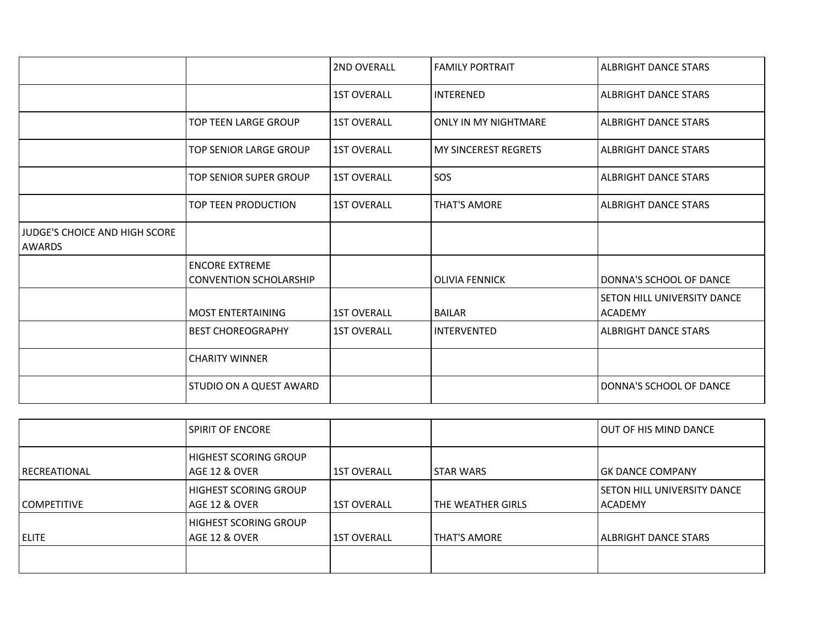|                                                       |                                                        | 2ND OVERALL        | <b>FAMILY PORTRAIT</b>      | <b>ALBRIGHT DANCE STARS</b>                   |
|-------------------------------------------------------|--------------------------------------------------------|--------------------|-----------------------------|-----------------------------------------------|
|                                                       |                                                        | <b>1ST OVERALL</b> | <b>INTERENED</b>            | <b>ALBRIGHT DANCE STARS</b>                   |
|                                                       | <b>TOP TEEN LARGE GROUP</b>                            | <b>1ST OVERALL</b> | <b>ONLY IN MY NIGHTMARE</b> | <b>ALBRIGHT DANCE STARS</b>                   |
|                                                       | <b>TOP SENIOR LARGE GROUP</b>                          | <b>1ST OVERALL</b> | <b>MY SINCEREST REGRETS</b> | <b>ALBRIGHT DANCE STARS</b>                   |
|                                                       | TOP SENIOR SUPER GROUP                                 | <b>1ST OVERALL</b> | SOS                         | <b>ALBRIGHT DANCE STARS</b>                   |
|                                                       | TOP TEEN PRODUCTION                                    | <b>1ST OVERALL</b> | <b>THAT'S AMORE</b>         | <b>ALBRIGHT DANCE STARS</b>                   |
| <b>JUDGE'S CHOICE AND HIGH SCORE</b><br><b>AWARDS</b> |                                                        |                    |                             |                                               |
|                                                       | <b>ENCORE EXTREME</b><br><b>CONVENTION SCHOLARSHIP</b> |                    | <b>OLIVIA FENNICK</b>       | DONNA'S SCHOOL OF DANCE                       |
|                                                       | <b>MOST ENTERTAINING</b>                               | <b>1ST OVERALL</b> | <b>BAILAR</b>               | SETON HILL UNIVERSITY DANCE<br><b>ACADEMY</b> |
|                                                       | <b>BEST CHOREOGRAPHY</b>                               | <b>1ST OVERALL</b> | <b>INTERVENTED</b>          | <b>ALBRIGHT DANCE STARS</b>                   |
|                                                       | <b>CHARITY WINNER</b>                                  |                    |                             |                                               |
|                                                       | STUDIO ON A QUEST AWARD                                |                    |                             | DONNA'S SCHOOL OF DANCE                       |

|                       | <b>SPIRIT OF ENCORE</b>                       |                    |                     | <b> OUT OF HIS MIND DANCE</b>              |
|-----------------------|-----------------------------------------------|--------------------|---------------------|--------------------------------------------|
| <b>I RECREATIONAL</b> | <b>HIGHEST SCORING GROUP</b><br>AGE 12 & OVER | <b>1ST OVERALL</b> | <b>STAR WARS</b>    | lGK DANCE COMPANY                          |
| l COMPETITIVE         | <b>HIGHEST SCORING GROUP</b><br>AGE 12 & OVER | <b>1ST OVERALL</b> | THE WEATHER GIRLS   | I SETON HILL UNIVERSITY DANCE<br>l ACADEMY |
| <b>ELITE</b>          | <b>HIGHEST SCORING GROUP</b><br>AGE 12 & OVER | <b>1ST OVERALL</b> | <b>THAT'S AMORE</b> | ALBRIGHT DANCE STARS                       |
|                       |                                               |                    |                     |                                            |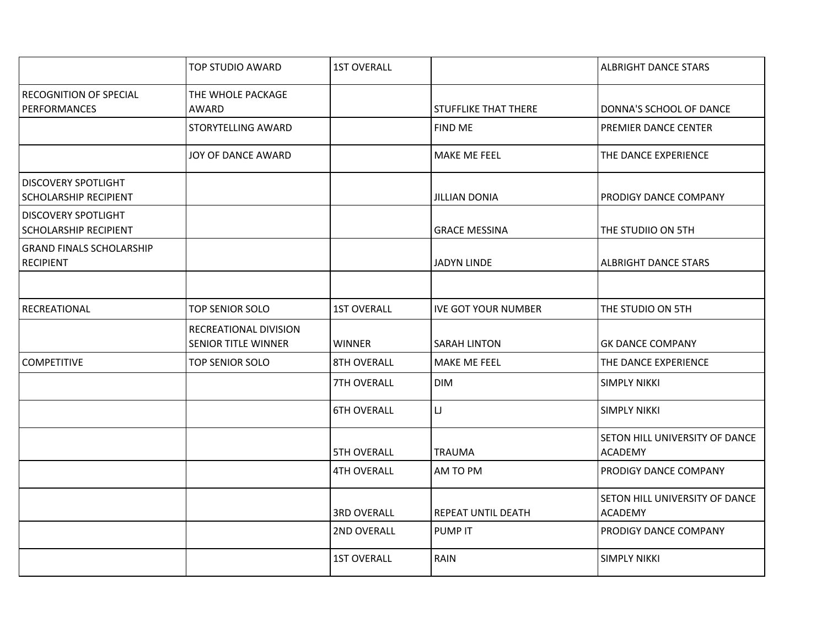|                                                            | <b>TOP STUDIO AWARD</b>                             | <b>1ST OVERALL</b> |                             | <b>ALBRIGHT DANCE STARS</b>                      |
|------------------------------------------------------------|-----------------------------------------------------|--------------------|-----------------------------|--------------------------------------------------|
| <b>RECOGNITION OF SPECIAL</b><br><b>PERFORMANCES</b>       | THE WHOLE PACKAGE<br>AWARD                          |                    | <b>STUFFLIKE THAT THERE</b> | DONNA'S SCHOOL OF DANCE                          |
|                                                            | STORYTELLING AWARD                                  |                    | <b>FIND ME</b>              | PREMIER DANCE CENTER                             |
|                                                            | JOY OF DANCE AWARD                                  |                    | MAKE ME FEEL                | THE DANCE EXPERIENCE                             |
| <b>DISCOVERY SPOTLIGHT</b><br><b>SCHOLARSHIP RECIPIENT</b> |                                                     |                    | <b>JILLIAN DONIA</b>        | PRODIGY DANCE COMPANY                            |
| <b>DISCOVERY SPOTLIGHT</b><br><b>SCHOLARSHIP RECIPIENT</b> |                                                     |                    | <b>GRACE MESSINA</b>        | THE STUDIIO ON 5TH                               |
| <b>GRAND FINALS SCHOLARSHIP</b><br><b>RECIPIENT</b>        |                                                     |                    | <b>JADYN LINDE</b>          | <b>ALBRIGHT DANCE STARS</b>                      |
| RECREATIONAL                                               | <b>TOP SENIOR SOLO</b>                              | <b>1ST OVERALL</b> | <b>IVE GOT YOUR NUMBER</b>  | THE STUDIO ON 5TH                                |
|                                                            | RECREATIONAL DIVISION<br><b>SENIOR TITLE WINNER</b> | <b>WINNER</b>      | <b>SARAH LINTON</b>         | <b>GK DANCE COMPANY</b>                          |
| <b>COMPETITIVE</b>                                         | TOP SENIOR SOLO                                     | 8TH OVERALL        | MAKE ME FEEL                | THE DANCE EXPERIENCE                             |
|                                                            |                                                     | 7TH OVERALL        | <b>DIM</b>                  | <b>SIMPLY NIKKI</b>                              |
|                                                            |                                                     | <b>6TH OVERALL</b> | $\sqcup$                    | <b>SIMPLY NIKKI</b>                              |
|                                                            |                                                     | <b>5TH OVERALL</b> | <b>TRAUMA</b>               | SETON HILL UNIVERSITY OF DANCE<br><b>ACADEMY</b> |
|                                                            |                                                     | <b>4TH OVERALL</b> | AM TO PM                    | PRODIGY DANCE COMPANY                            |
|                                                            |                                                     | <b>3RD OVERALL</b> | <b>REPEAT UNTIL DEATH</b>   | SETON HILL UNIVERSITY OF DANCE<br><b>ACADEMY</b> |
|                                                            |                                                     | 2ND OVERALL        | PUMP IT                     | PRODIGY DANCE COMPANY                            |
|                                                            |                                                     | <b>1ST OVERALL</b> | RAIN                        | <b>SIMPLY NIKKI</b>                              |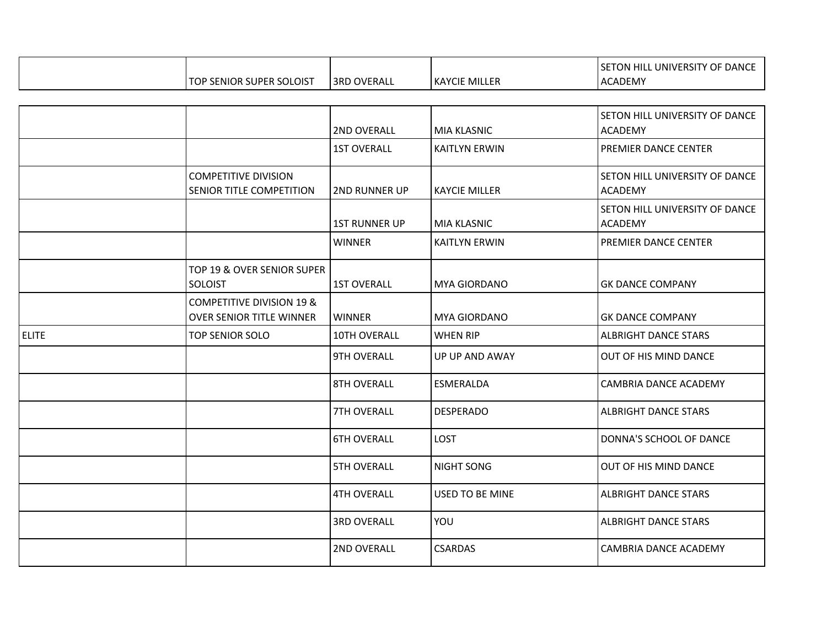|                               |                |                      | TON HILL UNIVERSITY OF DANCE<br>$ \mathsf{SET}^{\times}$ |
|-------------------------------|----------------|----------------------|----------------------------------------------------------|
| <b>P SENIOR SUPER SOLOIST</b> | OVERALL<br>3RD | <b>KAYCIE MILLER</b> | CADEMY<br>'AC                                            |

|              |                                                                         | 2ND OVERALL          | <b>MIA KLASNIC</b>   | SETON HILL UNIVERSITY OF DANCE<br><b>ACADEMY</b> |
|--------------|-------------------------------------------------------------------------|----------------------|----------------------|--------------------------------------------------|
|              |                                                                         | <b>1ST OVERALL</b>   | <b>KAITLYN ERWIN</b> | PREMIER DANCE CENTER                             |
|              | <b>COMPETITIVE DIVISION</b><br>SENIOR TITLE COMPETITION                 | <b>2ND RUNNER UP</b> | <b>KAYCIE MILLER</b> | SETON HILL UNIVERSITY OF DANCE<br><b>ACADEMY</b> |
|              |                                                                         | <b>1ST RUNNER UP</b> | <b>MIA KLASNIC</b>   | SETON HILL UNIVERSITY OF DANCE<br><b>ACADEMY</b> |
|              |                                                                         | <b>WINNER</b>        | <b>KAITLYN ERWIN</b> | PREMIER DANCE CENTER                             |
|              | TOP 19 & OVER SENIOR SUPER<br><b>SOLOIST</b>                            | <b>1ST OVERALL</b>   | MYA GIORDANO         | <b>GK DANCE COMPANY</b>                          |
|              | <b>COMPETITIVE DIVISION 19 &amp;</b><br><b>OVER SENIOR TITLE WINNER</b> | <b>WINNER</b>        | MYA GIORDANO         | <b>GK DANCE COMPANY</b>                          |
| <b>ELITE</b> | TOP SENIOR SOLO                                                         | 10TH OVERALL         | <b>WHEN RIP</b>      | <b>ALBRIGHT DANCE STARS</b>                      |
|              |                                                                         | 9TH OVERALL          | UP UP AND AWAY       | OUT OF HIS MIND DANCE                            |
|              |                                                                         | <b>8TH OVERALL</b>   | ESMERALDA            | <b>CAMBRIA DANCE ACADEMY</b>                     |
|              |                                                                         | 7TH OVERALL          | <b>DESPERADO</b>     | <b>ALBRIGHT DANCE STARS</b>                      |
|              |                                                                         | <b>6TH OVERALL</b>   | <b>LOST</b>          | DONNA'S SCHOOL OF DANCE                          |
|              |                                                                         | <b>5TH OVERALL</b>   | <b>NIGHT SONG</b>    | OUT OF HIS MIND DANCE                            |
|              |                                                                         | <b>4TH OVERALL</b>   | USED TO BE MINE      | <b>ALBRIGHT DANCE STARS</b>                      |
|              |                                                                         | <b>3RD OVERALL</b>   | YOU                  | <b>ALBRIGHT DANCE STARS</b>                      |
|              |                                                                         | 2ND OVERALL          | <b>CSARDAS</b>       | CAMBRIA DANCE ACADEMY                            |